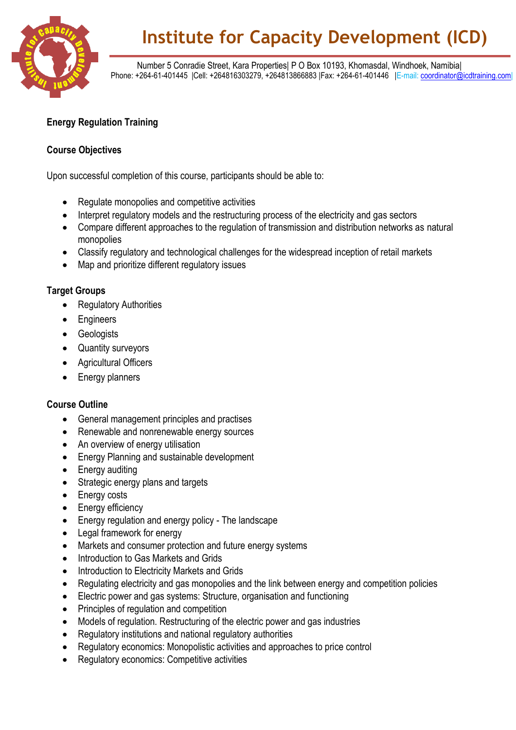

# **Institute for Capacity Development (ICD)**

 Number 5 Conradie Street, Kara Properties| P O Box 10193, Khomasdal, Windhoek, Namibia| Phone: +264-61-401445 |Cell: +264816303279, +264813866883 |Fax: +264-61-401446 |E-mail[: coordinator@icdtraining.com|](mailto:coordinator@icdtraining.com)

## **Energy Regulation Training**

### **Course Objectives**

Upon successful completion of this course, participants should be able to:

- Regulate monopolies and competitive activities
- Interpret regulatory models and the restructuring process of the electricity and gas sectors
- Compare different approaches to the regulation of transmission and distribution networks as natural monopolies
- Classify regulatory and technological challenges for the widespread inception of retail markets
- Map and prioritize different regulatory issues

#### **Target Groups**

- Regulatory Authorities
- Engineers
- Geologists
- Quantity surveyors
- Agricultural Officers
- Energy planners

### **Course Outline**

- General management principles and practises
- Renewable and nonrenewable energy sources
- An overview of energy utilisation
- Energy Planning and sustainable development
- Energy auditing
- Strategic energy plans and targets
- Energy costs
- Energy efficiency
- Energy regulation and energy policy The landscape
- Legal framework for energy
- Markets and consumer protection and future energy systems
- Introduction to Gas Markets and Grids
- Introduction to Electricity Markets and Grids
- Regulating electricity and gas monopolies and the link between energy and competition policies
- Electric power and gas systems: Structure, organisation and functioning
- Principles of regulation and competition
- Models of regulation. Restructuring of the electric power and gas industries
- Regulatory institutions and national regulatory authorities
- Regulatory economics: Monopolistic activities and approaches to price control
- Regulatory economics: Competitive activities